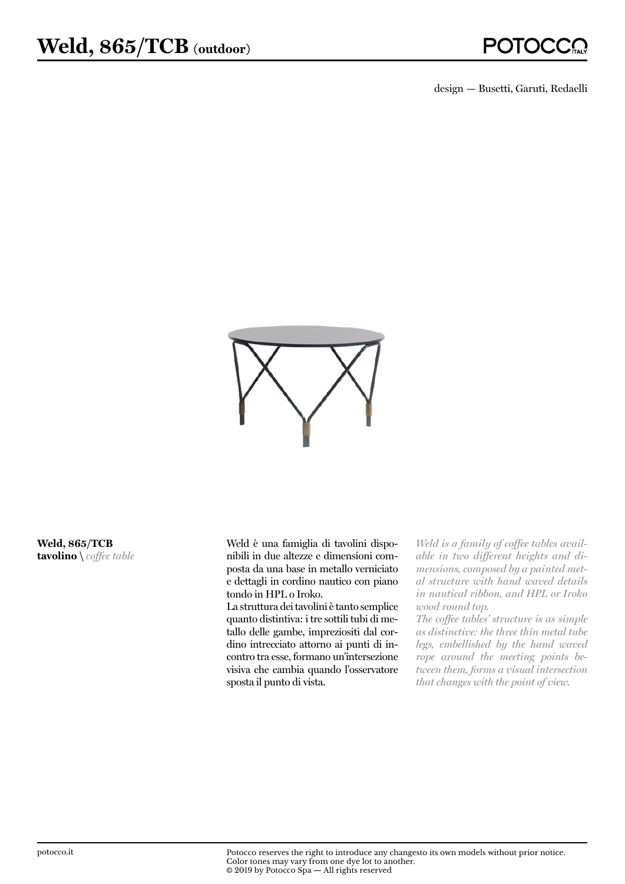design — Busetti, Garuti, Redaelli



**Weld, 865/TCB tavolino \** *coffee table* Weld è una famiglia di tavolini disponibili in due altezze e dimensioni composta da una base in metallo verniciato e dettagli in cordino nautico con piano tondo in HPL o Iroko.

La struttura dei tavolini è tanto semplice quanto distintiva: i tre sottili tubi di metallo delle gambe, impreziositi dal cordino intrecciato attorno ai punti di incontro tra esse, formano un'intersezione visiva che cambia quando l'osservatore sposta il punto di vista.

*Weld is a family of coffee tables available in two different heights and dimensions, composed by a painted metal structure with hand waved details in nautical ribbon, and HPL or Iroko wood round top.* 

*The coffee tables' structure is as simple as distinctive: the three thin metal tube legs, embellished by the hand waved rope around the meeting points between them, forms a visual intersection that changes with the point of view.*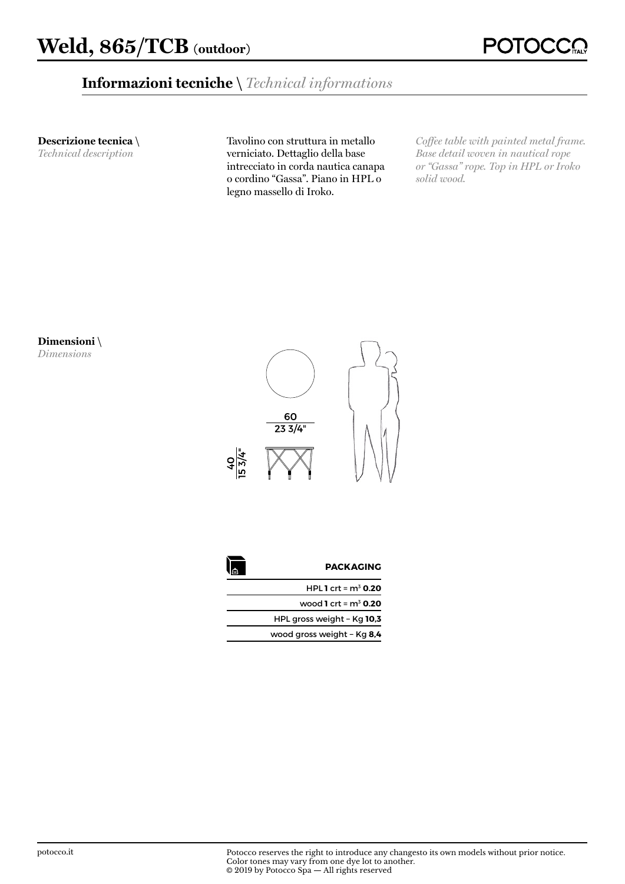## **Informazioni tecniche \** *Technical informations*

**Descrizione tecnica \** 

*Technical description*

Tavolino con struttura in metallo verniciato. Dettaglio della base intrecciato in corda nautica canapa o cordino "Gassa". Piano in HPL o legno massello di Iroko.

*Coffee table with painted metal frame. Base detail woven in nautical rope or "Gassa" rope. Top in HPL or Iroko solid wood.*

**Dimensioni \** 

*Dimensions*



| <b>PACKAGING</b>           |  |
|----------------------------|--|
| HPL 1 crt = $m^3$ 0.20     |  |
| wood 1 crt = $m^3$ 0.20    |  |
| HPL gross weight - Kg 10,3 |  |
| wood gross weight - Kg 8,4 |  |
|                            |  |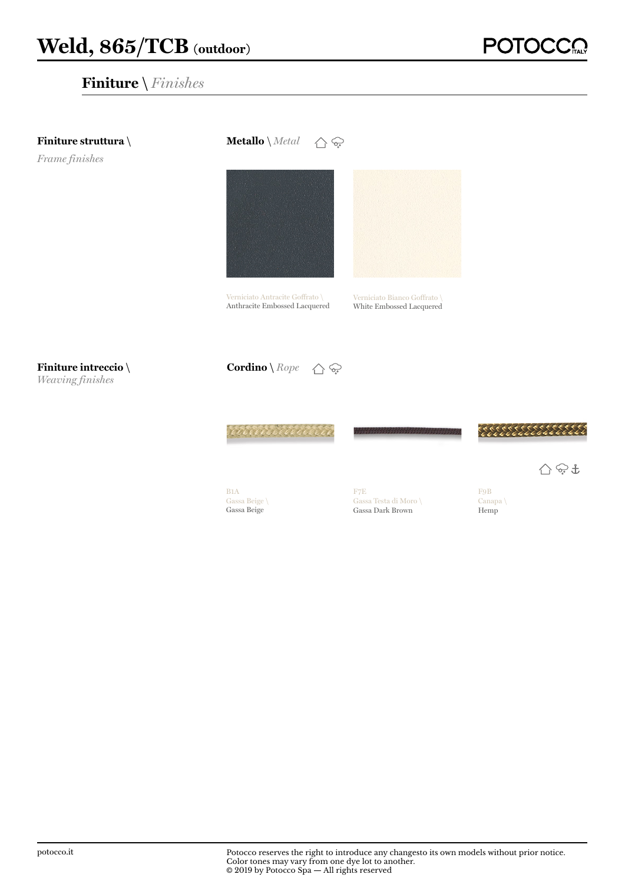

**POTC**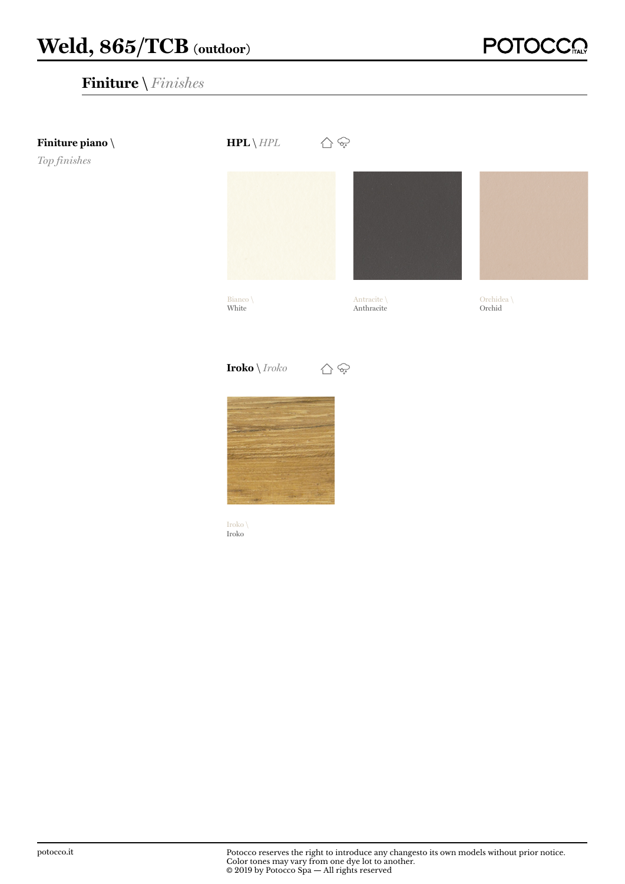

**POTOCO**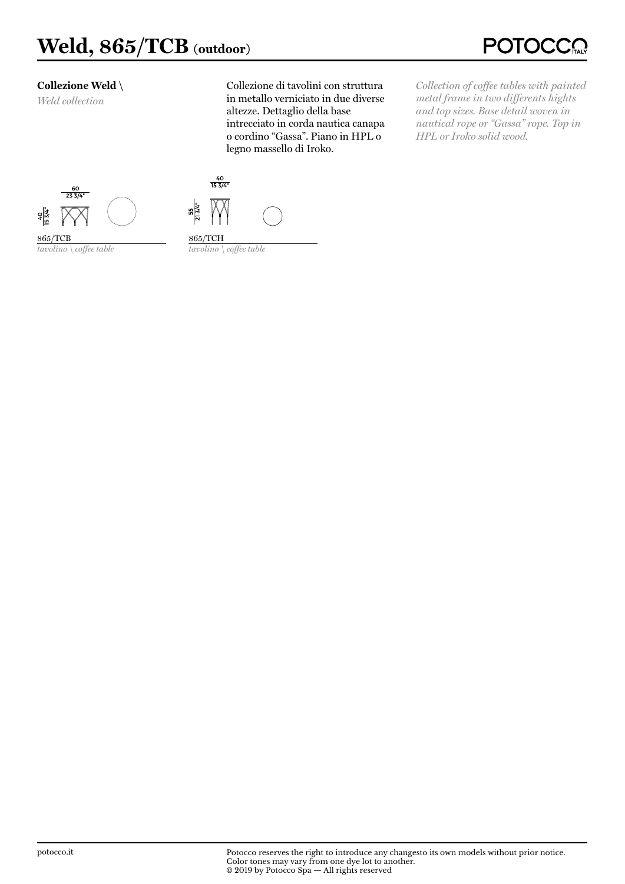#### **Collezione Weld \**

*Weld collection*

Collezione di tavolini con struttura in metallo verniciato in due diverse altezze. Dettaglio della base intrecciato in corda nautica canapa o cordino "Gassa". Piano in HPL o legno massello di Iroko.

*Collection of coffee tables with painted metal frame in two differents hights and top sizes. Base detail woven in nautical rope or "Gassa" rope. Top in HPL or Iroko solid wood.*



*tavolino \ coffee table*

865/TCB



865/TCH *tavolino \ coffee table*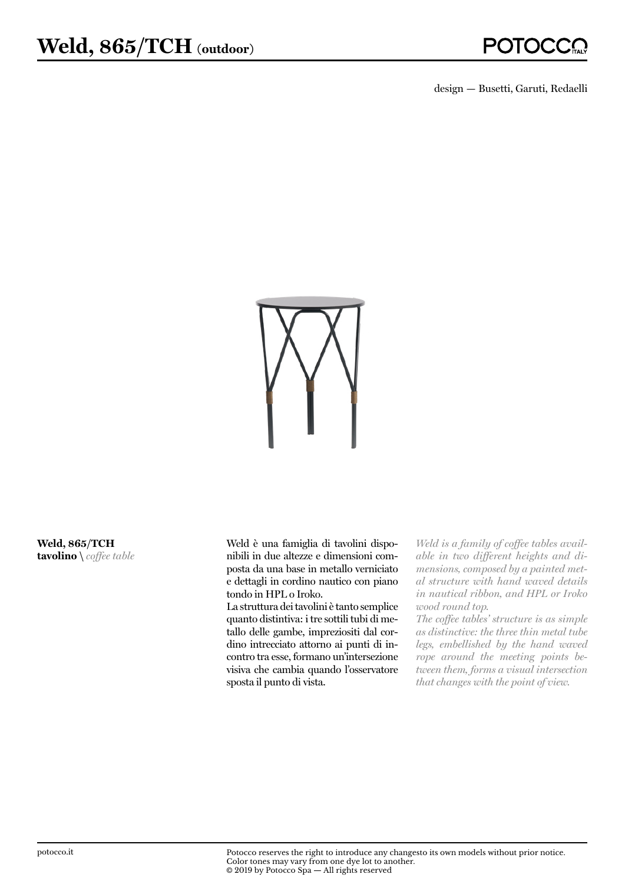design — Busetti, Garuti, Redaelli



**Weld, 865/TCH tavolino \** *coffee table* Weld è una famiglia di tavolini disponibili in due altezze e dimensioni composta da una base in metallo verniciato e dettagli in cordino nautico con piano tondo in HPL o Iroko.

La struttura dei tavolini è tanto semplice quanto distintiva: i tre sottili tubi di metallo delle gambe, impreziositi dal cordino intrecciato attorno ai punti di incontro tra esse, formano un'intersezione visiva che cambia quando l'osservatore sposta il punto di vista.

*Weld is a family of coffee tables available in two different heights and dimensions, composed by a painted metal structure with hand waved details in nautical ribbon, and HPL or Iroko wood round top.* 

*The coffee tables' structure is as simple as distinctive: the three thin metal tube legs, embellished by the hand waved rope around the meeting points between them, forms a visual intersection that changes with the point of view.*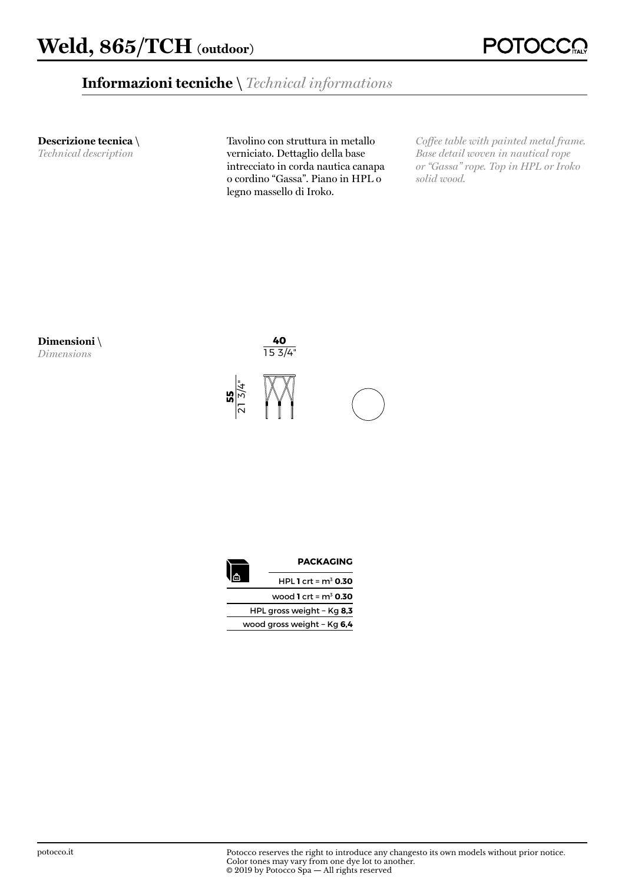## **Informazioni tecniche \** *Technical informations*

**Descrizione tecnica \** 

*Technical description*

**Dimensioni \**  *Dimensions*

Tavolino con struttura in metallo verniciato. Dettaglio della base intrecciato in corda nautica canapa o cordino "Gassa". Piano in HPL o legno massello di Iroko.

*Coffee table with painted metal frame. Base detail woven in nautical rope or "Gassa" rope. Top in HPL or Iroko solid wood.*



|  | <b>PACKAGING</b>           |
|--|----------------------------|
|  | HPL 1 crt = $m^3$ 0.30     |
|  | wood 1 crt = $m^3$ 0.30    |
|  | HPL gross weight - Kg 8,3  |
|  | wood gross weight - Kg 6,4 |
|  |                            |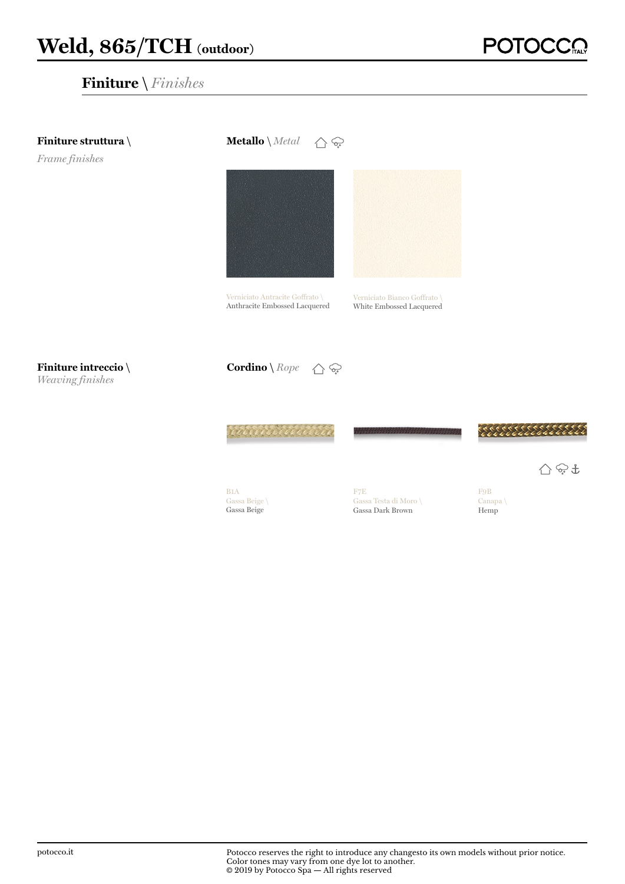

**POTC**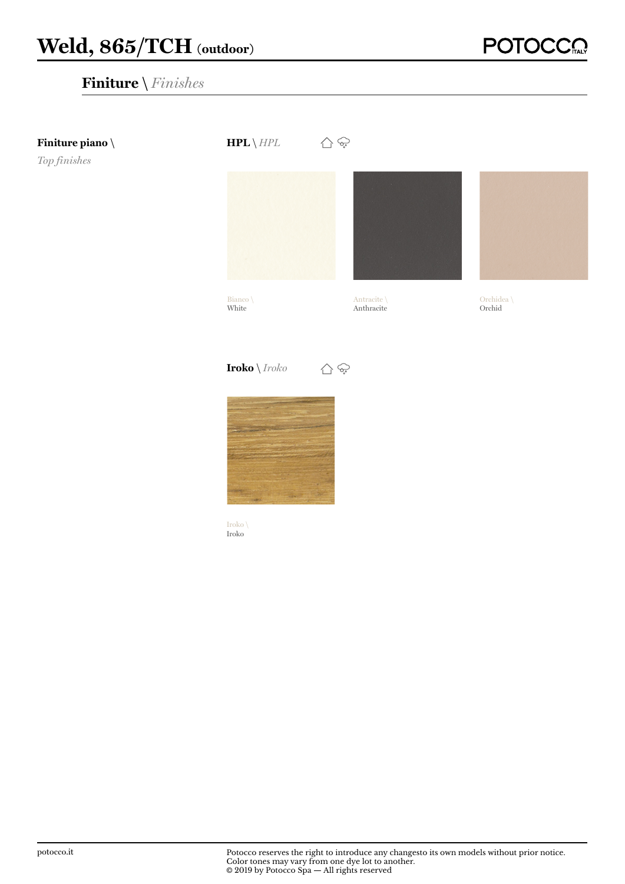

**POTOCO**